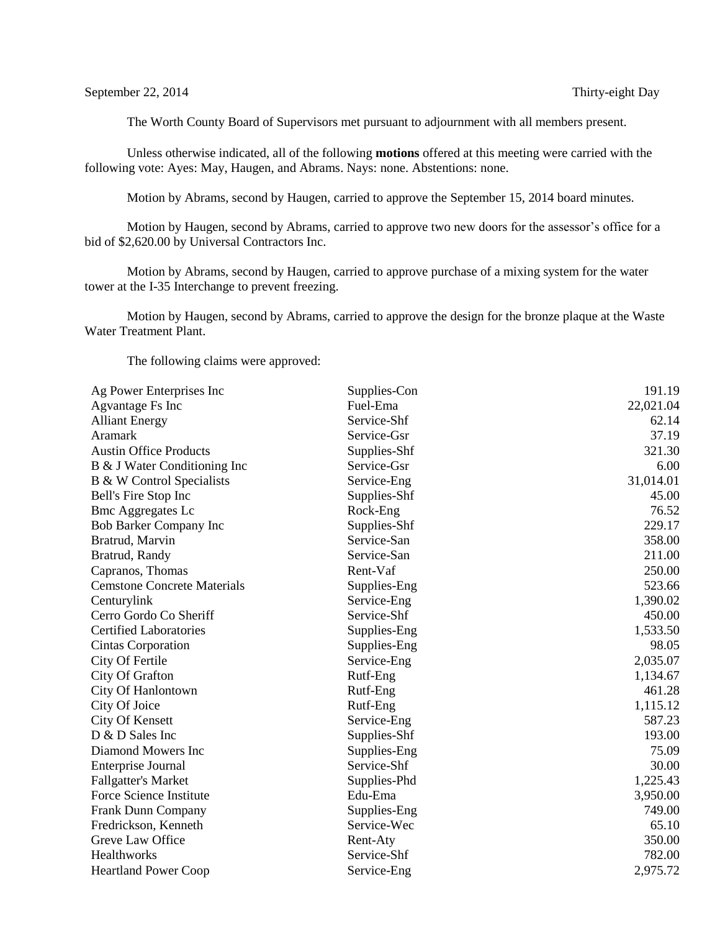The Worth County Board of Supervisors met pursuant to adjournment with all members present.

Unless otherwise indicated, all of the following **motions** offered at this meeting were carried with the following vote: Ayes: May, Haugen, and Abrams. Nays: none. Abstentions: none.

Motion by Abrams, second by Haugen, carried to approve the September 15, 2014 board minutes.

Motion by Haugen, second by Abrams, carried to approve two new doors for the assessor's office for a bid of \$2,620.00 by Universal Contractors Inc.

Motion by Abrams, second by Haugen, carried to approve purchase of a mixing system for the water tower at the I-35 Interchange to prevent freezing.

Motion by Haugen, second by Abrams, carried to approve the design for the bronze plaque at the Waste Water Treatment Plant.

The following claims were approved:

| Ag Power Enterprises Inc           | Supplies-Con | 191.19    |
|------------------------------------|--------------|-----------|
| Agvantage Fs Inc                   | Fuel-Ema     | 22,021.04 |
| <b>Alliant Energy</b>              | Service-Shf  | 62.14     |
| <b>Aramark</b>                     | Service-Gsr  | 37.19     |
| <b>Austin Office Products</b>      | Supplies-Shf | 321.30    |
| B & J Water Conditioning Inc       | Service-Gsr  | 6.00      |
| B & W Control Specialists          | Service-Eng  | 31,014.01 |
| Bell's Fire Stop Inc               | Supplies-Shf | 45.00     |
| <b>Bmc Aggregates Lc</b>           | Rock-Eng     | 76.52     |
| Bob Barker Company Inc             | Supplies-Shf | 229.17    |
| Bratrud, Marvin                    | Service-San  | 358.00    |
| Bratrud, Randy                     | Service-San  | 211.00    |
| Capranos, Thomas                   | Rent-Vaf     | 250.00    |
| <b>Cemstone Concrete Materials</b> | Supplies-Eng | 523.66    |
| Centurylink                        | Service-Eng  | 1,390.02  |
| Cerro Gordo Co Sheriff             | Service-Shf  | 450.00    |
| <b>Certified Laboratories</b>      | Supplies-Eng | 1,533.50  |
| Cintas Corporation                 | Supplies-Eng | 98.05     |
| City Of Fertile                    | Service-Eng  | 2,035.07  |
| City Of Grafton                    | Rutf-Eng     | 1,134.67  |
| City Of Hanlontown                 | Rutf-Eng     | 461.28    |
| City Of Joice                      | Rutf-Eng     | 1,115.12  |
| <b>City Of Kensett</b>             | Service-Eng  | 587.23    |
| D & D Sales Inc                    | Supplies-Shf | 193.00    |
| Diamond Mowers Inc                 | Supplies-Eng | 75.09     |
| Enterprise Journal                 | Service-Shf  | 30.00     |
| <b>Fallgatter's Market</b>         | Supplies-Phd | 1,225.43  |
| Force Science Institute            | Edu-Ema      | 3,950.00  |
| Frank Dunn Company                 | Supplies-Eng | 749.00    |
| Fredrickson, Kenneth               | Service-Wec  | 65.10     |
| Greve Law Office                   | Rent-Aty     | 350.00    |
| Healthworks                        | Service-Shf  | 782.00    |
| <b>Heartland Power Coop</b>        | Service-Eng  | 2,975.72  |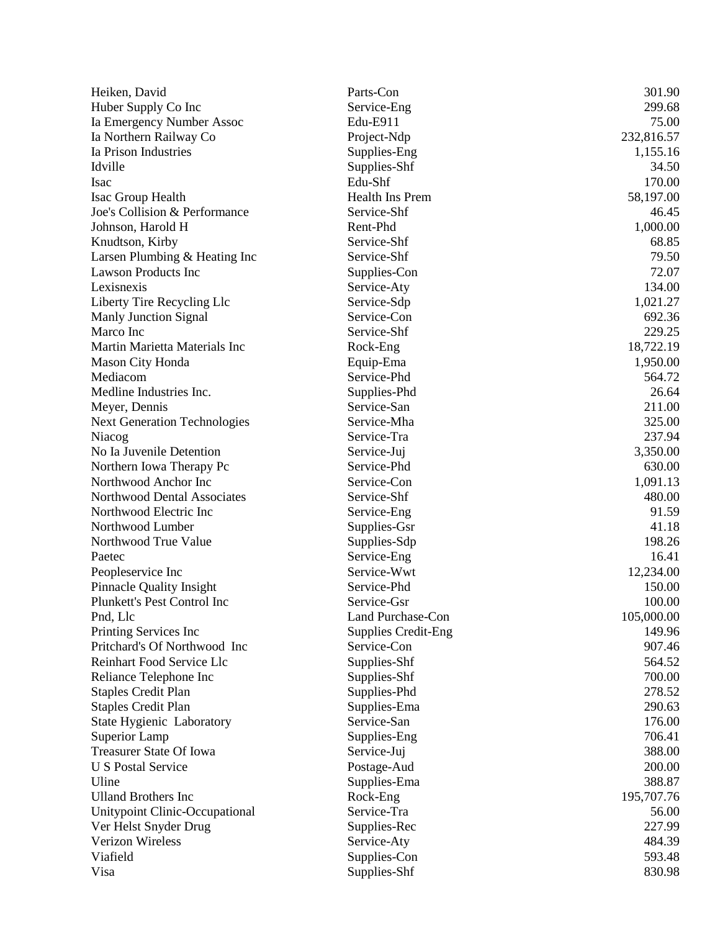| Heiken, David                                   | Parts-Con                   | 301.90     |
|-------------------------------------------------|-----------------------------|------------|
| Huber Supply Co Inc                             | Service-Eng                 | 299.68     |
| Ia Emergency Number Assoc                       | Edu-E911                    | 75.00      |
| Ia Northern Railway Co                          | Project-Ndp                 | 232,816.57 |
| Ia Prison Industries                            | Supplies-Eng                | 1,155.16   |
| Idville                                         | Supplies-Shf                | 34.50      |
| <b>Isac</b>                                     | Edu-Shf                     | 170.00     |
| Isac Group Health                               | Health Ins Prem             | 58,197.00  |
| Joe's Collision & Performance                   | Service-Shf                 | 46.45      |
| Johnson, Harold H                               | Rent-Phd                    | 1,000.00   |
| Knudtson, Kirby                                 | Service-Shf                 | 68.85      |
| Larsen Plumbing & Heating Inc                   | Service-Shf                 | 79.50      |
| <b>Lawson Products Inc</b>                      | Supplies-Con                | 72.07      |
| Lexisnexis                                      | Service-Aty                 | 134.00     |
| Liberty Tire Recycling Llc                      | Service-Sdp                 | 1,021.27   |
| <b>Manly Junction Signal</b>                    | Service-Con                 | 692.36     |
| Marco Inc                                       | Service-Shf                 | 229.25     |
| Martin Marietta Materials Inc                   | Rock-Eng                    | 18,722.19  |
| <b>Mason City Honda</b>                         | Equip-Ema                   | 1,950.00   |
| Mediacom                                        | Service-Phd                 | 564.72     |
| Medline Industries Inc.                         | Supplies-Phd                | 26.64      |
| Meyer, Dennis                                   | Service-San                 | 211.00     |
| <b>Next Generation Technologies</b>             | Service-Mha                 | 325.00     |
| Niacog                                          | Service-Tra                 | 237.94     |
| No Ia Juvenile Detention                        | Service-Juj                 | 3,350.00   |
| Northern Iowa Therapy Pc                        | Service-Phd                 | 630.00     |
| Northwood Anchor Inc                            | Service-Con                 | 1,091.13   |
| Northwood Dental Associates                     | Service-Shf                 | 480.00     |
| Northwood Electric Inc                          | Service-Eng                 | 91.59      |
| Northwood Lumber                                | Supplies-Gsr                | 41.18      |
| Northwood True Value                            | Supplies-Sdp                | 198.26     |
| Paetec                                          | Service-Eng                 | 16.41      |
| Peopleservice Inc                               | Service-Wwt                 | 12,234.00  |
| <b>Pinnacle Quality Insight</b>                 | Service-Phd                 | 150.00     |
| Plunkett's Pest Control Inc                     | Service-Gsr                 | 100.00     |
| Pnd, Llc                                        | Land Purchase-Con           | 105,000.00 |
| Printing Services Inc                           | <b>Supplies Credit-Eng</b>  | 149.96     |
| Pritchard's Of Northwood Inc                    | Service-Con                 | 907.46     |
| Reinhart Food Service Llc                       | Supplies-Shf                | 564.52     |
| Reliance Telephone Inc                          |                             | 700.00     |
|                                                 | Supplies-Shf                | 278.52     |
| <b>Staples Credit Plan</b>                      | Supplies-Phd                | 290.63     |
| <b>Staples Credit Plan</b>                      | Supplies-Ema<br>Service-San | 176.00     |
| State Hygienic Laboratory                       |                             |            |
| Superior Lamp<br><b>Treasurer State Of Iowa</b> | Supplies-Eng                | 706.41     |
|                                                 | Service-Juj                 | 388.00     |
| <b>U S Postal Service</b>                       | Postage-Aud                 | 200.00     |
| Uline                                           | Supplies-Ema                | 388.87     |
| <b>Ulland Brothers Inc</b>                      | Rock-Eng                    | 195,707.76 |
| Unitypoint Clinic-Occupational                  | Service-Tra                 | 56.00      |
| Ver Helst Snyder Drug                           | Supplies-Rec                | 227.99     |
| <b>Verizon Wireless</b>                         | Service-Aty                 | 484.39     |
| Viafield                                        | Supplies-Con                | 593.48     |
| Visa                                            | Supplies-Shf                | 830.98     |